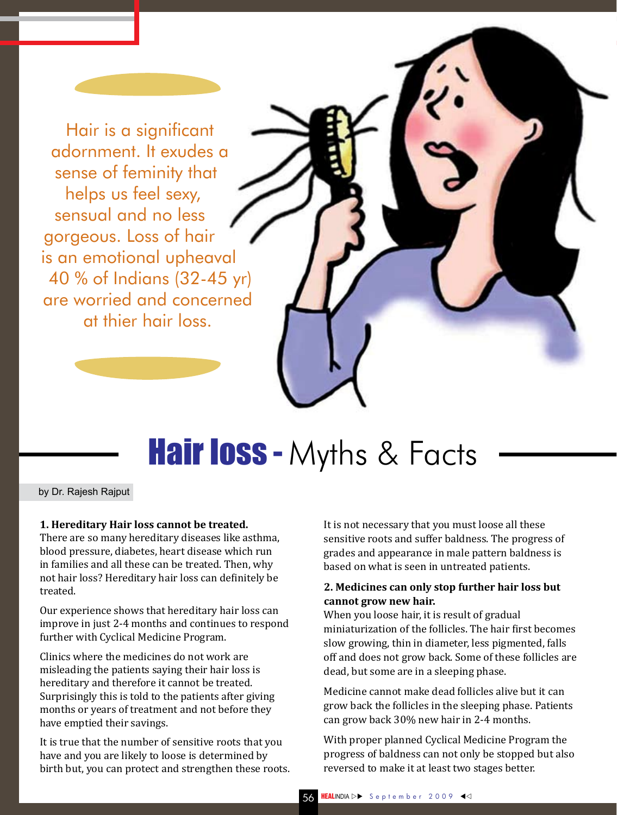Hair is a significant adornment. It exudes a sense of feminity that helps us feel sexy, sensual and no less gorgeous. Loss of hair is an emotional upheaval 40 % of Indians (32-45 yr) are worried and concerned at thier hair loss.

# **Hair loss - Myths & Facts**

by Dr. Rajesh Rajput

#### **1. Hereditary Hair loss cannot be treated.**

There are so many hereditary diseases like asthma, blood pressure, diabetes, heart disease which run in families and all these can be treated. Then, why not hair loss? Hereditary hair loss can definitely be treated.

Our experience shows that hereditary hair loss can improve in just 2-4 months and continues to respond further with Cyclical Medicine Program.

Clinics where the medicines do not work are misleading the patients saying their hair loss is hereditary and therefore it cannot be treated. Surprisingly this is told to the patients after giving months or years of treatment and not before they have emptied their savings.

It is true that the number of sensitive roots that you have and you are likely to loose is determined by birth but, you can protect and strengthen these roots. It is not necessary that you must loose all these sensitive roots and suffer baldness. The progress of grades and appearance in male pattern baldness is based on what is seen in untreated patients.

### **2. Medicines can only stop further hair loss but cannot grow new hair.**

When you loose hair, it is result of gradual miniaturization of the follicles. The hair first becomes slow growing, thin in diameter, less pigmented, falls off and does not grow back. Some of these follicles are dead, but some are in a sleeping phase.

Medicine cannot make dead follicles alive but it can grow back the follicles in the sleeping phase. Patients can grow back 30% new hair in 2-4 months.

With proper planned Cyclical Medicine Program the progress of baldness can not only be stopped but also reversed to make it at least two stages better.